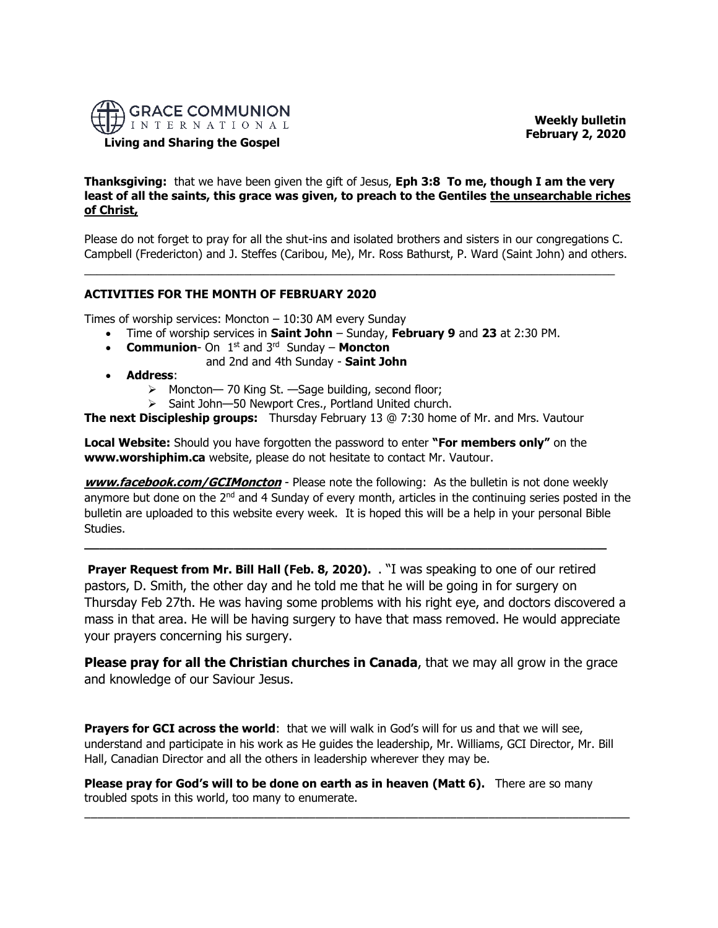

 **Weekly bulletin February 2, 2020** 

# **Living and Sharing the Gospel**

**Thanksgiving:** that we have been given the gift of Jesus, **Eph 3:8 To me, though I am the very least of all the saints, this grace was given, to preach to the Gentiles the unsearchable riches of Christ,**

Please do not forget to pray for all the shut-ins and isolated brothers and sisters in our congregations C. Campbell (Fredericton) and J. Steffes (Caribou, Me), Mr. Ross Bathurst, P. Ward (Saint John) and others.

\_\_\_\_\_\_\_\_\_\_\_\_\_\_\_\_\_\_\_\_\_\_\_\_\_\_\_\_\_\_\_\_\_\_\_\_\_\_\_\_\_\_\_\_\_\_\_\_\_\_\_\_\_\_\_\_\_\_\_\_\_\_\_\_\_\_\_\_\_\_\_\_\_\_\_\_\_\_\_\_\_\_\_

## **ACTIVITIES FOR THE MONTH OF FEBRUARY 2020**

Times of worship services: Moncton  $-10:30$  AM every Sunday

- Time of worship services in **Saint John** Sunday, **February 9** and **23** at 2:30 PM.
- **Communion** On 1<sup>st</sup> and 3<sup>rd</sup> Sunday **Moncton** 
	- and 2nd and 4th Sunday **Saint John**
- **Address**:
	- ➢ Moncton— 70 King St. —Sage building, second floor;
	- ➢ Saint John—50 Newport Cres., Portland United church.

**The next Discipleship groups:** Thursday February 13 @ 7:30 home of Mr. and Mrs. Vautour

**Local Website:** Should you have forgotten the password to enter **"For members only"** on the **www.worshiphim.ca** website, please do not hesitate to contact Mr. Vautour.

**[www.facebook.com/GCIMoncton](http://www.facebook.com/GCIMoncton)** - Please note the following: As the bulletin is not done weekly anymore but done on the  $2<sup>nd</sup>$  and 4 Sunday of every month, articles in the continuing series posted in the bulletin are uploaded to this website every week. It is hoped this will be a help in your personal Bible Studies.

**\_\_\_\_\_\_\_\_\_\_\_\_\_\_\_\_\_\_\_\_\_\_\_\_\_\_\_\_\_\_\_\_\_\_\_\_\_\_\_\_\_\_\_\_\_\_\_\_\_\_\_\_\_\_\_\_\_\_\_\_\_\_\_\_\_\_\_\_\_\_**

**Prayer Request from Mr. Bill Hall (Feb. 8, 2020).** . "I was speaking to one of our retired pastors, D. Smith, the other day and he told me that he will be going in for surgery on Thursday Feb 27th. He was having some problems with his right eye, and doctors discovered a mass in that area. He will be having surgery to have that mass removed. He would appreciate your prayers concerning his surgery.

**Please pray for all the Christian churches in Canada**, that we may all grow in the grace and knowledge of our Saviour Jesus.

Prayers for GCI across the world: that we will walk in God's will for us and that we will see, understand and participate in his work as He guides the leadership, Mr. Williams, GCI Director, Mr. Bill Hall, Canadian Director and all the others in leadership wherever they may be.

**Please pray for God's will to be done on earth as in heaven (Matt 6).** There are so many troubled spots in this world, too many to enumerate.

\_\_\_\_\_\_\_\_\_\_\_\_\_\_\_\_\_\_\_\_\_\_\_\_\_\_\_\_\_\_\_\_\_\_\_\_\_\_\_\_\_\_\_\_\_\_\_\_\_\_\_\_\_\_\_\_\_\_\_\_\_\_\_\_\_\_\_\_\_\_\_\_\_\_\_\_\_\_\_\_\_\_\_\_\_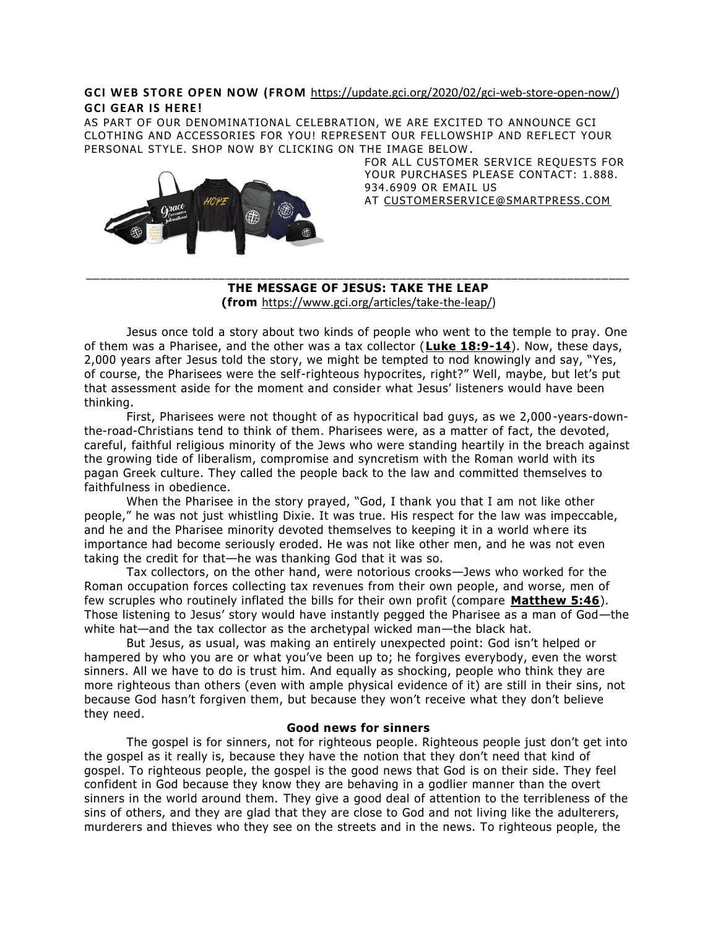# **GCI WEB STORE OPEN NOW (FROM** [https://update.gci.org/2020/02/gci-web-store-open-now/\)](https://update.gci.org/2020/02/gci-web-store-open-now/) **GCI GEAR IS HERE!**

AS PART OF OUR DENOMINATIONAL CELEBRATION, WE ARE EXCITED TO ANNOUNCE GCI CLOTHING AND ACCESSORIES FOR YOU! REPRESENT OUR FELLOWSHIP AND REFLECT YOUR PERSONAL STYLE. SHOP NOW BY CLICKING ON THE IMAGE BELOW .



FOR ALL CUSTOMER SERVICE REQUESTS FOR YOUR PURCHASES PLEASE CONTACT: 1.888. 934.6909 OR EMAIL US AT [CUSTOMERSERVICE@SMARTPRESS.COM](mailto:customerservice@smartpress.com)

# \_\_\_\_\_\_\_\_\_\_\_\_\_\_\_\_\_\_\_\_\_\_\_\_\_\_\_\_\_\_\_\_\_\_\_\_\_\_\_\_\_\_\_\_\_\_\_\_\_\_\_\_\_\_\_\_\_\_\_\_\_\_\_\_\_\_\_\_\_\_\_\_\_\_\_\_\_\_ **THE MESSAGE OF JESUS: TAKE THE LEAP**

**(from** [https://www.gci.org/articles/take-the-leap/\)](https://www.gci.org/articles/take-the-leap/)

Jesus once told a story about two kinds of people who went to the temple to pray. One of them was a Pharisee, and the other was a tax collector (**[Luke 18:9-14](https://biblia.com/bible/niv/Luke%2018.9-14)**). Now, these days, 2,000 years after Jesus told the story, we might be tempted to nod knowingly and say, "Yes, of course, the Pharisees were the self-righteous hypocrites, right?" Well, maybe, but let's put that assessment aside for the moment and consider what Jesus' listeners would have been thinking.

First, Pharisees were not thought of as hypocritical bad guys, as we 2,000 -years-downthe-road-Christians tend to think of them. Pharisees were, as a matter of fact, the devoted, careful, faithful religious minority of the Jews who were standing heartily in the breach against the growing tide of liberalism, compromise and syncretism with the Roman world with its pagan Greek culture. They called the people back to the law and committed themselves to faithfulness in obedience.

When the Pharisee in the story prayed, "God, I thank you that I am not like other people," he was not just whistling Dixie. It was true. His respect for the law was impeccable, and he and the Pharisee minority devoted themselves to keeping it in a world wh ere its importance had become seriously eroded. He was not like other men, and he was not even taking the credit for that—he was thanking God that it was so.

Tax collectors, on the other hand, were notorious crooks—Jews who worked for the Roman occupation forces collecting tax revenues from their own people, and worse, men of few scruples who routinely inflated the bills for their own profit (compare **[Matthew 5:46](https://biblia.com/bible/niv/Matt%205.46)**). Those listening to Jesus' story would have instantly pegged the Pharisee as a man of God—the white hat—and the tax collector as the archetypal wicked man—the black hat.

But Jesus, as usual, was making an entirely unexpected point: God isn't helped or hampered by who you are or what you've been up to; he forgives everybody, even the worst sinners. All we have to do is trust him. And equally as shocking, people who think they are more righteous than others (even with ample physical evidence of it) are still in their sins, not because God hasn't forgiven them, but because they won't receive what they don't believe they need.

## **Good news for sinners**

The gospel is for sinners, not for righteous people. Righteous people just don't get into the gospel as it really is, because they have the notion that they don't need that kind of gospel. To righteous people, the gospel is the good news that God is on their side. They feel confident in God because they know they are behaving in a godlier manner than the overt sinners in the world around them. They give a good deal of attention to the terribleness of the sins of others, and they are glad that they are close to God and not living like the adulterers, murderers and thieves who they see on the streets and in the news. To righteous people, the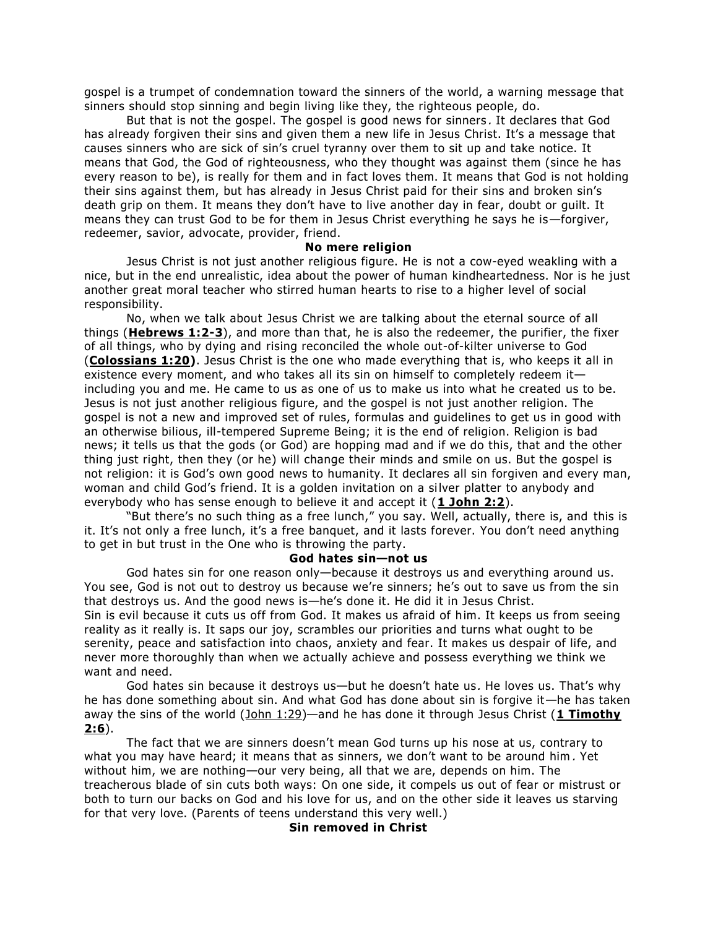gospel is a trumpet of condemnation toward the sinners of the world, a warning message that sinners should stop sinning and begin living like they, the righteous people, do.

But that is not the gospel. The gospel is good news for sinners . It declares that God has already forgiven their sins and given them a new life in Jesus Christ. It's a message that causes sinners who are sick of sin's cruel tyranny over them to sit up and take notice. It means that God, the God of righteousness, who they thought was against them (since he has every reason to be), is really for them and in fact loves them. It means that God is not holding their sins against them, but has already in Jesus Christ paid for their sins and broken sin's death grip on them. It means they don't have to live another day in fear, doubt or guilt. It means they can trust God to be for them in Jesus Christ everything he says he is—forgiver, redeemer, savior, advocate, provider, friend.

#### **No mere religion**

Jesus Christ is not just another religious figure. He is not a cow-eyed weakling with a nice, but in the end unrealistic, idea about the power of human kindheartedness. Nor is he just another great moral teacher who stirred human hearts to rise to a higher level of social responsibility.

No, when we talk about Jesus Christ we are talking about the eternal source of all things (**[Hebrews 1:2-3](https://biblia.com/bible/niv/Heb%201.2-3)**), and more than that, he is also the redeemer, the purifier, the fixer of all things, who by dying and rising reconciled the whole out-of-kilter universe to God (**[Colossians 1:20\)](https://biblia.com/bible/niv/Col%201.20)**. Jesus Christ is the one who made everything that is, who keeps it all in existence every moment, and who takes all its sin on himself to completely redeem it including you and me. He came to us as one of us to make us into what he created us to be. Jesus is not just another religious figure, and the gospel is not just another religion. The gospel is not a new and improved set of rules, formulas and guidelines to get us in good with an otherwise bilious, ill-tempered Supreme Being; it is the end of religion. Religion is bad news; it tells us that the gods (or God) are hopping mad and if we do this, that and the other thing just right, then they (or he) will change their minds and smile on us. But the gospel is not religion: it is God's own good news to humanity. It declares all sin forgiven and every man, woman and child God's friend. It is a golden invitation on a silver platter to anybody and everybody who has sense enough to believe it and accept it (**[1 John 2:2](https://biblia.com/bible/niv/1%20John%202.2)**).

"But there's no such thing as a free lunch," you say. Well, actually, there is, and this is it. It's not only a free lunch, it's a free banquet, and it lasts forever. You don't need anything to get in but trust in the One who is throwing the party.

## **God hates sin—not us**

God hates sin for one reason only—because it destroys us and everything around us. You see, God is not out to destroy us because we're sinners; he's out to save us from the sin that destroys us. And the good news is—he's done it. He did it in Jesus Christ. Sin is evil because it cuts us off from God. It makes us afraid of him. It keeps us from seeing reality as it really is. It saps our joy, scrambles our priorities and turns what ought to be serenity, peace and satisfaction into chaos, anxiety and fear. It makes us despair of life, and never more thoroughly than when we actually achieve and possess everything we think we want and need.

God hates sin because it destroys us—but he doesn't hate us. He loves us. That's why he has done something about sin. And what God has done about sin is forgive it —he has taken away the sins of the world [\(John 1:29\)](https://biblia.com/bible/niv/John%201.29)—and he has done it through Jesus Christ (1 Timothy **[2:6](https://biblia.com/bible/niv/1%20Tim%202.6)**).

The fact that we are sinners doesn't mean God turns up his nose at us, contrary to what you may have heard; it means that as sinners, we don't want to be around him. Yet without him, we are nothing—our very being, all that we are, depends on him. The treacherous blade of sin cuts both ways: On one side, it compels us out of fear or mistrust or both to turn our backs on God and his love for us, and on the other side it leaves us starving for that very love. (Parents of teens understand this very well.)

### **Sin removed in Christ**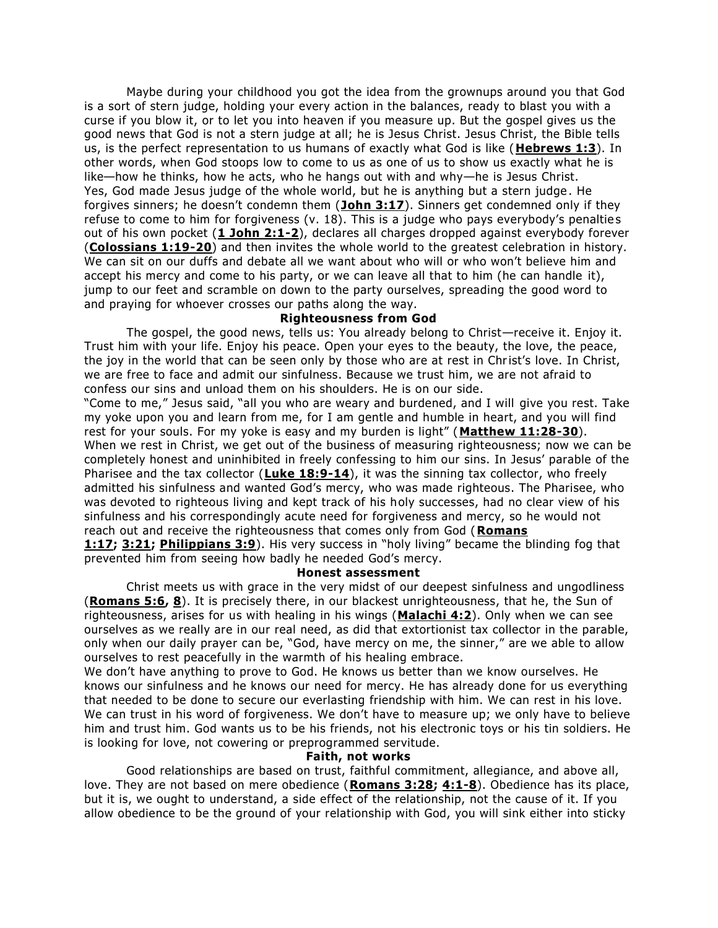Maybe during your childhood you got the idea from the grownups around you that God is a sort of stern judge, holding your every action in the balances, ready to blast you with a curse if you blow it, or to let you into heaven if you measure up. But the gospel gives us the good news that God is not a stern judge at all; he is Jesus Christ. Jesus Christ, the Bible tells us, is the perfect representation to us humans of exactly what God is like (**[Hebrews 1:3](https://biblia.com/bible/niv/Heb%201.3)**). In other words, when God stoops low to come to us as one of us to show us exactly what he is like—how he thinks, how he acts, who he hangs out with and why—he is Jesus Christ. Yes, God made Jesus judge of the whole world, but he is anything but a stern judge . He forgives sinners; he doesn't condemn them (**[John 3:17](https://biblia.com/bible/niv/John%203.17)**). Sinners get condemned only if they refuse to come to him for forgiveness (v. 18). This is a judge who pays everybody's penalties out of his own pocket (**[1 John 2:1-2](https://biblia.com/bible/niv/1%20John%202.1-2)**), declares all charges dropped against everybody forever (**[Colossians 1:19-20](https://biblia.com/bible/niv/Col%201.19-20)**) and then invites the whole world to the greatest celebration in history. We can sit on our duffs and debate all we want about who will or who won't believe him and accept his mercy and come to his party, or we can leave all that to him (he can handle it), jump to our feet and scramble on down to the party ourselves, spreading the good word to and praying for whoever crosses our paths along the way.

#### **Righteousness from God**

The gospel, the good news, tells us: You already belong to Christ—receive it. Enjoy it. Trust him with your life. Enjoy his peace. Open your eyes to the beauty, the love, the peace, the joy in the world that can be seen only by those who are at rest in Christ's love. In Christ, we are free to face and admit our sinfulness. Because we trust him, we are not afraid to confess our sins and unload them on his shoulders. He is on our side.

"Come to me," Jesus said, "all you who are weary and burdened, and I will give you rest. Take my yoke upon you and learn from me, for I am gentle and humble in heart, and you will find rest for your souls. For my yoke is easy and my burden is light" (**[Matthew 11:28-30](https://biblia.com/bible/niv/Matt%2011.28-30)**). When we rest in Christ, we get out of the business of measuring righteousness; now we can be completely honest and uninhibited in freely confessing to him our sins. In Jesus' parable of the Pharisee and the tax collector (**[Luke 18:9-14](https://biblia.com/bible/niv/Luke%2018.9-14)**), it was the sinning tax collector, who freely admitted his sinfulness and wanted God's mercy, who was made righteous. The Pharisee, who was devoted to righteous living and kept track of his holy successes, had no clear view of his sinfulness and his correspondingly acute need for forgiveness and mercy, so he would not reach out and receive the righteousness that comes only from God (**[Romans](https://biblia.com/bible/niv/Rom%201.17)** 

**[1:17;](https://biblia.com/bible/niv/Rom%201.17) [3:21;](https://biblia.com/bible/niv/Romans%203.21) [Philippians 3:9](https://biblia.com/bible/niv/Phil%203.9)**). His very success in "holy living" became the blinding fog that prevented him from seeing how badly he needed God's mercy.

## **Honest assessment**

Christ meets us with grace in the very midst of our deepest sinfulness and ungodliness (**[Romans 5:6,](https://biblia.com/bible/niv/Rom%205.6) [8](https://biblia.com/bible/niv/Romans%205.8)**). It is precisely there, in our blackest unrighteousness, that he, the Sun of righteousness, arises for us with healing in his wings (**[Malachi 4:2](https://biblia.com/bible/niv/Mal%204.2)**). Only when we can see ourselves as we really are in our real need, as did that extortionist tax collector in the parable, only when our daily prayer can be, "God, have mercy on me, the sinner," are we able to allow ourselves to rest peacefully in the warmth of his healing embrace.

We don't have anything to prove to God. He knows us better than we know ourselves. He knows our sinfulness and he knows our need for mercy. He has already done for us everything that needed to be done to secure our everlasting friendship with him. We can rest in his love. We can trust in his word of forgiveness. We don't have to measure up; we only have to believe him and trust him. God wants us to be his friends, not his electronic toys or his tin soldiers. He is looking for love, not cowering or preprogrammed servitude.

#### **Faith, not works**

Good relationships are based on trust, faithful commitment, allegiance, and above all, love. They are not based on mere obedience (**[Romans 3:28;](https://biblia.com/bible/niv/Rom%203.28) [4:1-8](https://biblia.com/bible/niv/Romans%204.1-8)**). Obedience has its place, but it is, we ought to understand, a side effect of the relationship, not the cause of it. If you allow obedience to be the ground of your relationship with God, you will sink either into sticky